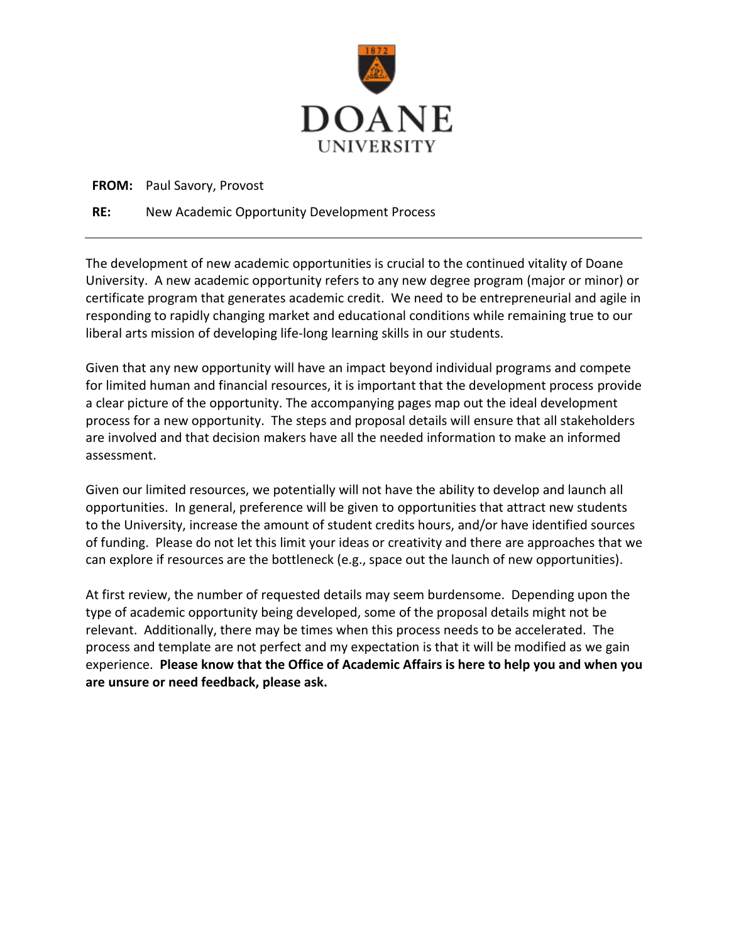

#### **FROM:** Paul Savory, Provost

#### **RE:** New Academic Opportunity Development Process

The development of new academic opportunities is crucial to the continued vitality of Doane University. A new academic opportunity refers to any new degree program (major or minor) or certificate program that generates academic credit. We need to be entrepreneurial and agile in responding to rapidly changing market and educational conditions while remaining true to our liberal arts mission of developing life-long learning skills in our students.

Given that any new opportunity will have an impact beyond individual programs and compete for limited human and financial resources, it is important that the development process provide a clear picture of the opportunity. The accompanying pages map out the ideal development process for a new opportunity. The steps and proposal details will ensure that all stakeholders are involved and that decision makers have all the needed information to make an informed assessment.

Given our limited resources, we potentially will not have the ability to develop and launch all opportunities. In general, preference will be given to opportunities that attract new students to the University, increase the amount of student credits hours, and/or have identified sources of funding. Please do not let this limit your ideas or creativity and there are approaches that we can explore if resources are the bottleneck (e.g., space out the launch of new opportunities).

At first review, the number of requested details may seem burdensome. Depending upon the type of academic opportunity being developed, some of the proposal details might not be relevant. Additionally, there may be times when this process needs to be accelerated. The process and template are not perfect and my expectation is that it will be modified as we gain experience. **Please know that the Office of Academic Affairs is here to help you and when you are unsure or need feedback, please ask.**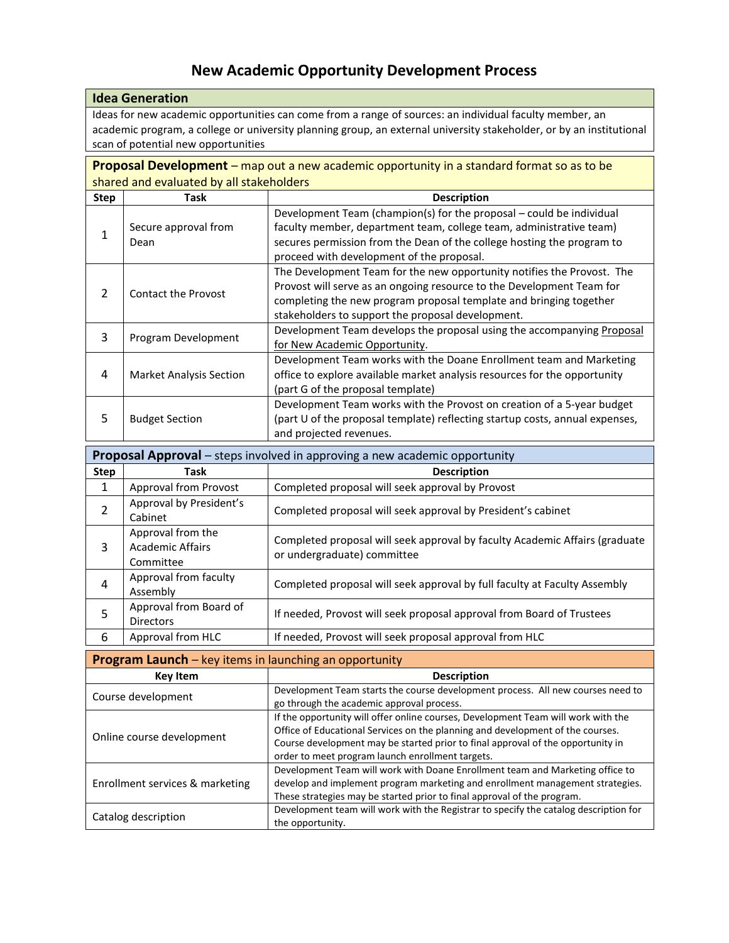# **New Academic Opportunity Development Process**

| <b>Idea Generation</b>                                                                                               |
|----------------------------------------------------------------------------------------------------------------------|
| Ideas for new academic opportunities can come from a range of sources: an individual faculty member, an              |
| academic program, a college or university planning group, an external university stakeholder, or by an institutional |
| scan of potential new opportunities                                                                                  |

**Proposal Development** – map out a new academic opportunity in a standard format so as to be shared and evaluated by all stakeholders

| <b>Step</b> | Task                           | <b>Description</b>                                                                                                                                                                                                                                                         |
|-------------|--------------------------------|----------------------------------------------------------------------------------------------------------------------------------------------------------------------------------------------------------------------------------------------------------------------------|
|             | Secure approval from<br>Dean   | Development Team (champion(s) for the proposal – could be individual<br>faculty member, department team, college team, administrative team)<br>secures permission from the Dean of the college hosting the program to<br>proceed with development of the proposal.         |
|             | <b>Contact the Provost</b>     | The Development Team for the new opportunity notifies the Provost. The<br>Provost will serve as an ongoing resource to the Development Team for<br>completing the new program proposal template and bringing together<br>stakeholders to support the proposal development. |
| 3           | Program Development            | Development Team develops the proposal using the accompanying Proposal<br>for New Academic Opportunity.                                                                                                                                                                    |
| 4           | <b>Market Analysis Section</b> | Development Team works with the Doane Enrollment team and Marketing<br>office to explore available market analysis resources for the opportunity<br>(part G of the proposal template)                                                                                      |
| 5           | <b>Budget Section</b>          | Development Team works with the Provost on creation of a 5-year budget<br>(part U of the proposal template) reflecting startup costs, annual expenses,<br>and projected revenues.                                                                                          |

| Proposal Approval - steps involved in approving a new academic opportunity |                                                    |                                                                                                            |  |  |
|----------------------------------------------------------------------------|----------------------------------------------------|------------------------------------------------------------------------------------------------------------|--|--|
| <b>Step</b>                                                                | Task                                               | <b>Description</b>                                                                                         |  |  |
| $\mathbf{1}$                                                               | Approval from Provost                              | Completed proposal will seek approval by Provost                                                           |  |  |
| $\overline{2}$                                                             | Approval by President's<br>Cabinet                 | Completed proposal will seek approval by President's cabinet                                               |  |  |
| 3                                                                          | Approval from the<br>Academic Affairs<br>Committee | Completed proposal will seek approval by faculty Academic Affairs (graduate<br>or undergraduate) committee |  |  |
| 4                                                                          | Approval from faculty<br>Assembly                  | Completed proposal will seek approval by full faculty at Faculty Assembly                                  |  |  |
| 5                                                                          | Approval from Board of<br><b>Directors</b>         | If needed, Provost will seek proposal approval from Board of Trustees                                      |  |  |
| 6                                                                          | Approval from HLC                                  | If needed, Provost will seek proposal approval from HLC                                                    |  |  |

| <b>Program Launch</b> – key items in launching an opportunity |                                                                                                                                                                                                                                                                                                            |  |  |  |
|---------------------------------------------------------------|------------------------------------------------------------------------------------------------------------------------------------------------------------------------------------------------------------------------------------------------------------------------------------------------------------|--|--|--|
| <b>Key Item</b>                                               | <b>Description</b>                                                                                                                                                                                                                                                                                         |  |  |  |
| Course development                                            | Development Team starts the course development process. All new courses need to<br>go through the academic approval process.                                                                                                                                                                               |  |  |  |
| Online course development                                     | If the opportunity will offer online courses, Development Team will work with the<br>Office of Educational Services on the planning and development of the courses.<br>Course development may be started prior to final approval of the opportunity in<br>order to meet program launch enrollment targets. |  |  |  |
| Enrollment services & marketing                               | Development Team will work with Doane Enrollment team and Marketing office to<br>develop and implement program marketing and enrollment management strategies.<br>These strategies may be started prior to final approval of the program.                                                                  |  |  |  |
| Catalog description                                           | Development team will work with the Registrar to specify the catalog description for<br>the opportunity.                                                                                                                                                                                                   |  |  |  |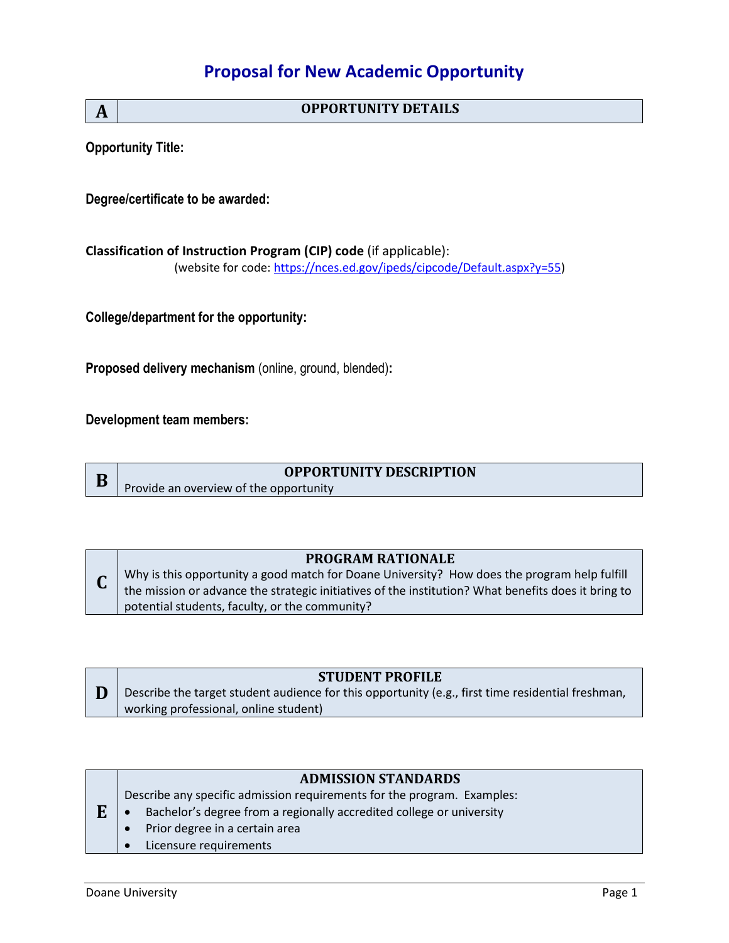## **Proposal for New Academic Opportunity**

**A OPPORTUNITY DETAILS**

**Opportunity Title:** 

**Degree/certificate to be awarded:**

**Classification of Instruction Program (CIP) code** (if applicable): (website for code: [https://nces.ed.gov/ipeds/cipcode/Default.aspx?y=55\)](https://nces.ed.gov/ipeds/cipcode/Default.aspx?y=55)

**College/department for the opportunity:**

**Proposed delivery mechanism** (online, ground, blended)**:**

**Development team members:**

**D**

## **OPPORTUNITY DESCRIPTION**

Provide an overview of the opportunity

#### **PROGRAM RATIONALE**

**C** Why is this opportunity a good match for Doane University? How does the program help fulfill the mission or advance the strategic initiatives of the institution? What benefits does it bring to potential students, faculty, or the community?

#### **STUDENT PROFILE**

Describe the target student audience for this opportunity (e.g., first time residential freshman, working professional, online student)

#### **ADMISSION STANDARDS**

**E** Describe any specific admission requirements for the program. Examples: • Bachelor's degree from a regionally accredited college or university

- Prior degree in a certain area
- Licensure requirements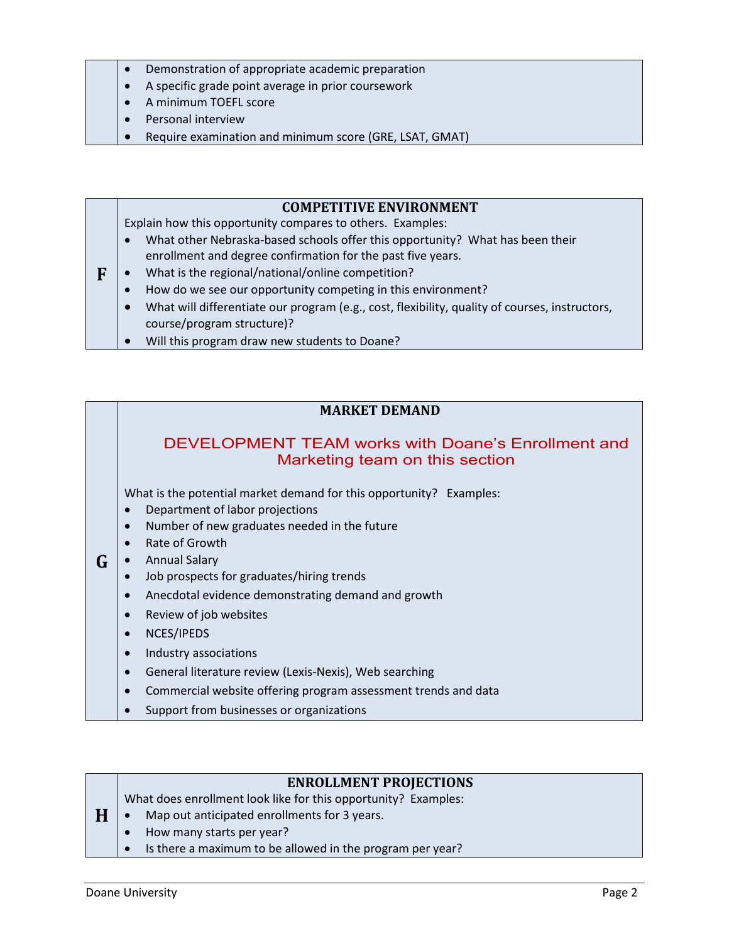- Demonstration of appropriate academic preparation
- A specific grade point average in prior coursework
- A minimum TOEFL score
- Personal interview
- Require examination and minimum score (GRE, LSAT, GMAT)

#### **COMPETITIVE ENVIRONMENT**

Explain how this opportunity compares to others. Examples:

- What other Nebraska-based schools offer this opportunity? What has been their enrollment and degree confirmation for the past five years.
- **F** What is the regional/national/online competition?
	- How do we see our opportunity competing in this environment?
		- What will differentiate our program (e.g., cost, flexibility, quality of courses, instructors, course/program structure)?
	- Will this program draw new students to Doane?

## **MARKET DEMAND**

## DEVELOPMENT TEAM works with Doane's Enrollment and Marketing team on this section

What is the potential market demand for this opportunity? Examples:

- Department of labor projections
- Number of new graduates needed in the future
- Rate of Growth
- **G** Annual Salary
	- Job prospects for graduates/hiring trends
	- Anecdotal evidence demonstrating demand and growth
	- Review of job websites
	- NCES/IPEDS
	- Industry associations
	- General literature review (Lexis-Nexis), Web searching
	- Commercial website offering program assessment trends and data
	- Support from businesses or organizations

#### **ENROLLMENT PROJECTIONS**

What does enrollment look like for this opportunity? Examples:

- Map out anticipated enrollments for 3 years.
- How many starts per year?
- Is there a maximum to be allowed in the program per year?

**H**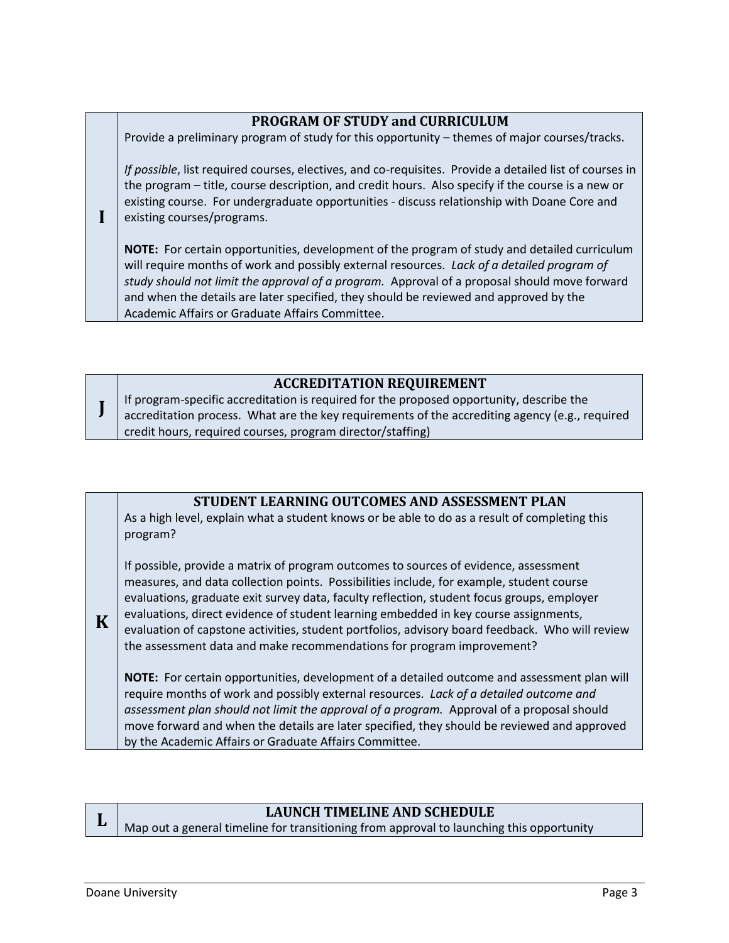## **PROGRAM OF STUDY and CURRICULUM**

Provide a preliminary program of study for this opportunity – themes of major courses/tracks.

*If possible*, list required courses, electives, and co-requisites. Provide a detailed list of courses in the program – title, course description, and credit hours. Also specify if the course is a new or existing course. For undergraduate opportunities - discuss relationship with Doane Core and existing courses/programs.

**NOTE:** For certain opportunities, development of the program of study and detailed curriculum will require months of work and possibly external resources. *Lack of a detailed program of study should not limit the approval of a program.* Approval of a proposal should move forward and when the details are later specified, they should be reviewed and approved by the Academic Affairs or Graduate Affairs Committee.

## **ACCREDITATION REQUIREMENT**

**J** If program-specific accreditation is required for the proposed opportunity, describe the accreditation process. What are the key requirements of the accrediting agency (e.g., required credit hours, required courses, program director/staffing)

## **STUDENT LEARNING OUTCOMES AND ASSESSMENT PLAN**

As a high level, explain what a student knows or be able to do as a result of completing this program?

If possible, provide a matrix of program outcomes to sources of evidence, assessment measures, and data collection points. Possibilities include, for example, student course evaluations, graduate exit survey data, faculty reflection, student focus groups, employer evaluations, direct evidence of student learning embedded in key course assignments, evaluation of capstone activities, student portfolios, advisory board feedback. Who will review the assessment data and make recommendations for program improvement?

**NOTE:** For certain opportunities, development of a detailed outcome and assessment plan will require months of work and possibly external resources. *Lack of a detailed outcome and assessment plan should not limit the approval of a program.* Approval of a proposal should move forward and when the details are later specified, they should be reviewed and approved by the Academic Affairs or Graduate Affairs Committee.



**K**

**I**

## **LAUNCH TIMELINE AND SCHEDULE**

Map out a general timeline for transitioning from approval to launching this opportunity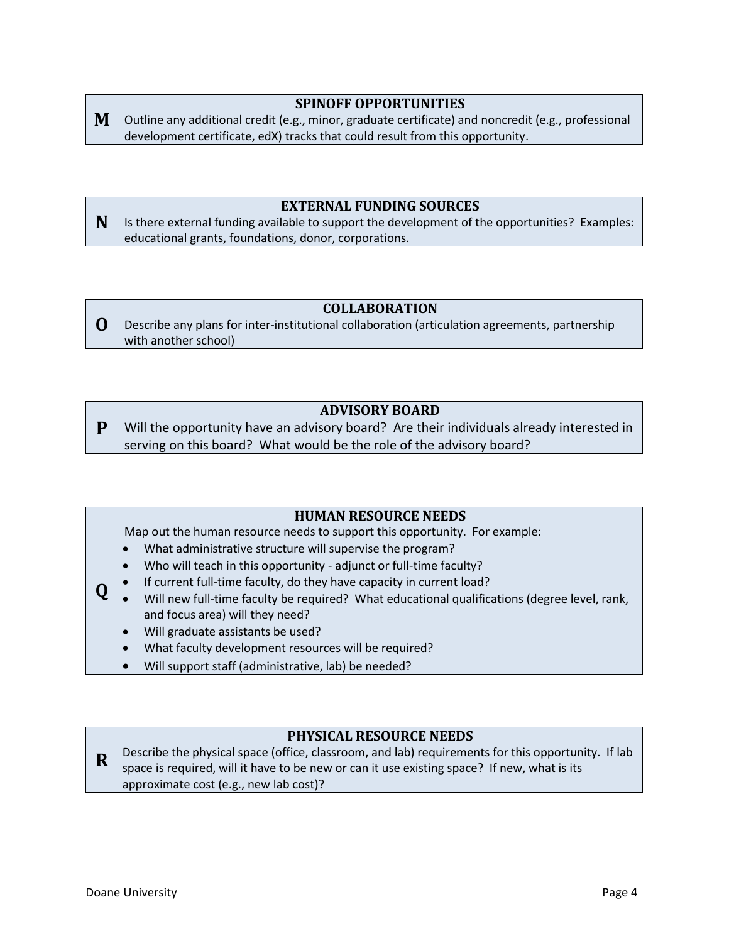## **SPINOFF OPPORTUNITIES**

**M** Outline any additional credit (e.g., minor, graduate certificate) and noncredit (e.g., professional development certificate, edX) tracks that could result from this opportunity.

## **EXTERNAL FUNDING SOURCES**

**N** Is there external funding available to support the development of the opportunities? Examples: educational grants, foundations, donor, corporations.

#### **COLLABORATION**

**O** Describe any plans for inter-institutional collaboration (articulation agreements, partnership with another school)

## **ADVISORY BOARD**

**P** Will the opportunity have an advisory board? Are their individuals already interested in serving on this board? What would be the role of the advisory board?

#### **HUMAN RESOURCE NEEDS**

Map out the human resource needs to support this opportunity. For example:

- What administrative structure will supervise the program?
- Who will teach in this opportunity adjunct or full-time faculty?
- If current full-time faculty, do they have capacity in current load?
- **Q** Will new full-time faculty be required? What educational qualifications (degree level, rank, and focus area) will they need?
	- Will graduate assistants be used?
	- What faculty development resources will be required?
	- Will support staff (administrative, lab) be needed?

## **PHYSICAL RESOURCE NEEDS**

**R** Describe the physical space (office, classroom, and lab) requirements for this opportunity. If lab space is required, will it have to be new or can it use existing space? If new, what is its approximate cost (e.g., new lab cost)?